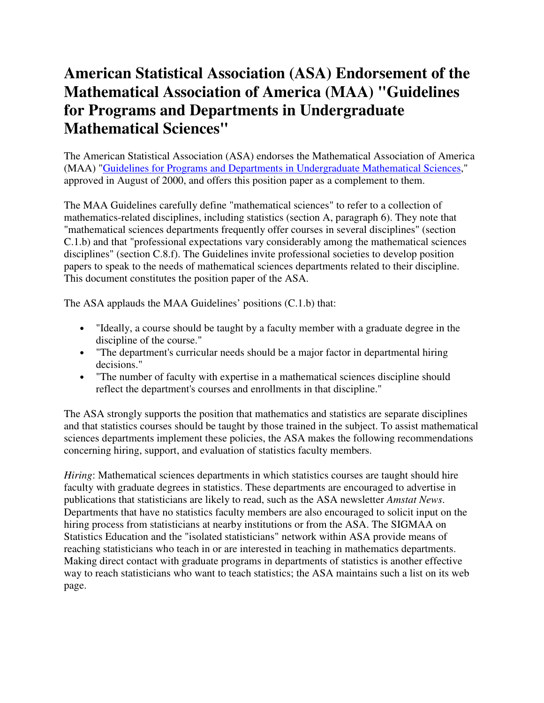## **American Statistical Association (ASA) Endorsement of the Mathematical Association of America (MAA) "Guidelines for Programs and Departments in Undergraduate Mathematical Sciences"**

The American Statistical Association (ASA) endorses the Mathematical Association of America (MAA) "Guidelines for Programs and Departments in Undergraduate Mathematical Sciences," approved in August of 2000, and offers this position paper as a complement to them.

The MAA Guidelines carefully define "mathematical sciences" to refer to a collection of mathematics-related disciplines, including statistics (section A, paragraph 6). They note that "mathematical sciences departments frequently offer courses in several disciplines" (section C.1.b) and that "professional expectations vary considerably among the mathematical sciences disciplines" (section C.8.f). The Guidelines invite professional societies to develop position papers to speak to the needs of mathematical sciences departments related to their discipline. This document constitutes the position paper of the ASA.

The ASA applauds the MAA Guidelines' positions (C.1.b) that:

- "Ideally, a course should be taught by a faculty member with a graduate degree in the discipline of the course."
- "The department's curricular needs should be a major factor in departmental hiring decisions."
- "The number of faculty with expertise in a mathematical sciences discipline should reflect the department's courses and enrollments in that discipline."

The ASA strongly supports the position that mathematics and statistics are separate disciplines and that statistics courses should be taught by those trained in the subject. To assist mathematical sciences departments implement these policies, the ASA makes the following recommendations concerning hiring, support, and evaluation of statistics faculty members.

*Hiring*: Mathematical sciences departments in which statistics courses are taught should hire faculty with graduate degrees in statistics. These departments are encouraged to advertise in publications that statisticians are likely to read, such as the ASA newsletter *Amstat News*. Departments that have no statistics faculty members are also encouraged to solicit input on the hiring process from statisticians at nearby institutions or from the ASA. The SIGMAA on Statistics Education and the "isolated statisticians" network within ASA provide means of reaching statisticians who teach in or are interested in teaching in mathematics departments. Making direct contact with graduate programs in departments of statistics is another effective way to reach statisticians who want to teach statistics; the ASA maintains such a list on its web page.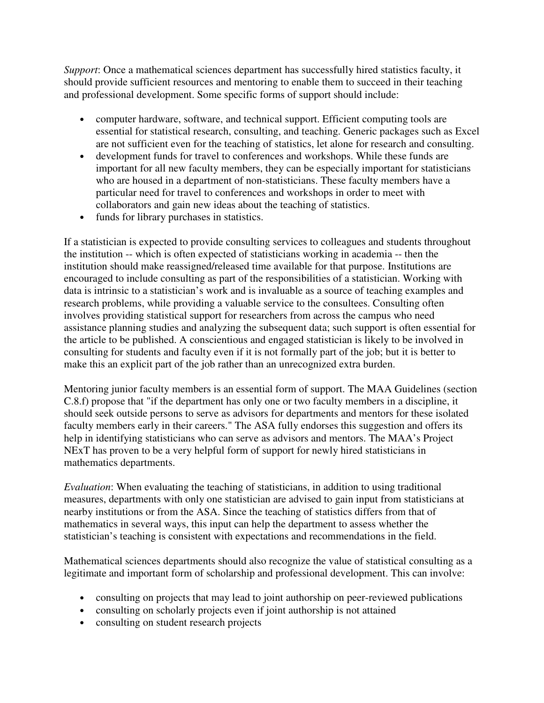*Support*: Once a mathematical sciences department has successfully hired statistics faculty, it should provide sufficient resources and mentoring to enable them to succeed in their teaching and professional development. Some specific forms of support should include:

- computer hardware, software, and technical support. Efficient computing tools are essential for statistical research, consulting, and teaching. Generic packages such as Excel are not sufficient even for the teaching of statistics, let alone for research and consulting.
- development funds for travel to conferences and workshops. While these funds are important for all new faculty members, they can be especially important for statisticians who are housed in a department of non-statisticians. These faculty members have a particular need for travel to conferences and workshops in order to meet with collaborators and gain new ideas about the teaching of statistics.
- funds for library purchases in statistics.

If a statistician is expected to provide consulting services to colleagues and students throughout the institution -- which is often expected of statisticians working in academia -- then the institution should make reassigned/released time available for that purpose. Institutions are encouraged to include consulting as part of the responsibilities of a statistician. Working with data is intrinsic to a statistician's work and is invaluable as a source of teaching examples and research problems, while providing a valuable service to the consultees. Consulting often involves providing statistical support for researchers from across the campus who need assistance planning studies and analyzing the subsequent data; such support is often essential for the article to be published. A conscientious and engaged statistician is likely to be involved in consulting for students and faculty even if it is not formally part of the job; but it is better to make this an explicit part of the job rather than an unrecognized extra burden.

Mentoring junior faculty members is an essential form of support. The MAA Guidelines (section C.8.f) propose that "if the department has only one or two faculty members in a discipline, it should seek outside persons to serve as advisors for departments and mentors for these isolated faculty members early in their careers." The ASA fully endorses this suggestion and offers its help in identifying statisticians who can serve as advisors and mentors. The MAA's Project NExT has proven to be a very helpful form of support for newly hired statisticians in mathematics departments.

*Evaluation*: When evaluating the teaching of statisticians, in addition to using traditional measures, departments with only one statistician are advised to gain input from statisticians at nearby institutions or from the ASA. Since the teaching of statistics differs from that of mathematics in several ways, this input can help the department to assess whether the statistician's teaching is consistent with expectations and recommendations in the field.

Mathematical sciences departments should also recognize the value of statistical consulting as a legitimate and important form of scholarship and professional development. This can involve:

- consulting on projects that may lead to joint authorship on peer-reviewed publications
- consulting on scholarly projects even if joint authorship is not attained
- consulting on student research projects